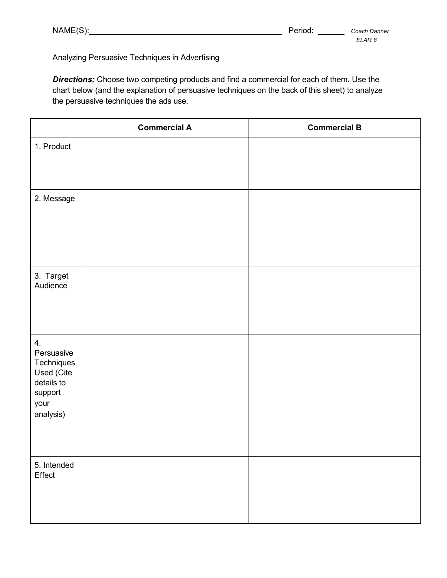| NAME(S): |  |  |
|----------|--|--|
|----------|--|--|

## Analyzing Persuasive Techniques in Advertising

*Directions:* Choose two competing products and find a commercial for each of them. Use the chart below (and the explanation of persuasive techniques on the back of this sheet) to analyze the persuasive techniques the ads use.

|                                                                                            | <b>Commercial A</b> | <b>Commercial B</b> |
|--------------------------------------------------------------------------------------------|---------------------|---------------------|
| 1. Product                                                                                 |                     |                     |
| 2. Message                                                                                 |                     |                     |
| 3. Target<br>Audience                                                                      |                     |                     |
| 4.<br>Persuasive<br>Techniques<br>Used (Cite<br>details to<br>support<br>your<br>analysis) |                     |                     |
| 5. Intended<br>Effect                                                                      |                     |                     |